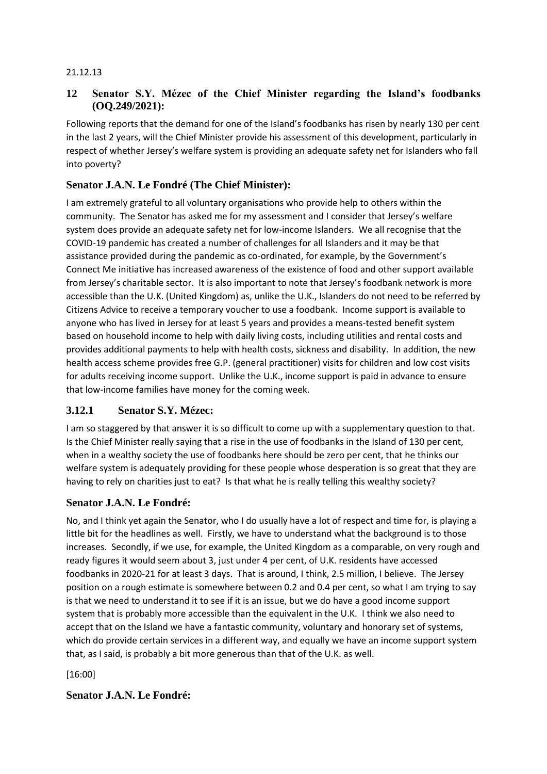#### 21.12.13

### **12 Senator S.Y. Mézec of the Chief Minister regarding the Island's foodbanks (OQ.249/2021):**

Following reports that the demand for one of the Island's foodbanks has risen by nearly 130 per cent in the last 2 years, will the Chief Minister provide his assessment of this development, particularly in respect of whether Jersey's welfare system is providing an adequate safety net for Islanders who fall into poverty?

### **Senator J.A.N. Le Fondré (The Chief Minister):**

I am extremely grateful to all voluntary organisations who provide help to others within the community. The Senator has asked me for my assessment and I consider that Jersey's welfare system does provide an adequate safety net for low-income Islanders. We all recognise that the COVID-19 pandemic has created a number of challenges for all Islanders and it may be that assistance provided during the pandemic as co-ordinated, for example, by the Government's Connect Me initiative has increased awareness of the existence of food and other support available from Jersey's charitable sector. It is also important to note that Jersey's foodbank network is more accessible than the U.K. (United Kingdom) as, unlike the U.K., Islanders do not need to be referred by Citizens Advice to receive a temporary voucher to use a foodbank. Income support is available to anyone who has lived in Jersey for at least 5 years and provides a means-tested benefit system based on household income to help with daily living costs, including utilities and rental costs and provides additional payments to help with health costs, sickness and disability. In addition, the new health access scheme provides free G.P. (general practitioner) visits for children and low cost visits for adults receiving income support. Unlike the U.K., income support is paid in advance to ensure that low-income families have money for the coming week.

#### **3.12.1 Senator S.Y. Mézec:**

I am so staggered by that answer it is so difficult to come up with a supplementary question to that. Is the Chief Minister really saying that a rise in the use of foodbanks in the Island of 130 per cent, when in a wealthy society the use of foodbanks here should be zero per cent, that he thinks our welfare system is adequately providing for these people whose desperation is so great that they are having to rely on charities just to eat? Is that what he is really telling this wealthy society?

#### **Senator J.A.N. Le Fondré:**

No, and I think yet again the Senator, who I do usually have a lot of respect and time for, is playing a little bit for the headlines as well. Firstly, we have to understand what the background is to those increases. Secondly, if we use, for example, the United Kingdom as a comparable, on very rough and ready figures it would seem about 3, just under 4 per cent, of U.K. residents have accessed foodbanks in 2020-21 for at least 3 days. That is around, I think, 2.5 million, I believe. The Jersey position on a rough estimate is somewhere between 0.2 and 0.4 per cent, so what I am trying to say is that we need to understand it to see if it is an issue, but we do have a good income support system that is probably more accessible than the equivalent in the U.K. I think we also need to accept that on the Island we have a fantastic community, voluntary and honorary set of systems, which do provide certain services in a different way, and equally we have an income support system that, as I said, is probably a bit more generous than that of the U.K. as well.

[16:00]

**Senator J.A.N. Le Fondré:**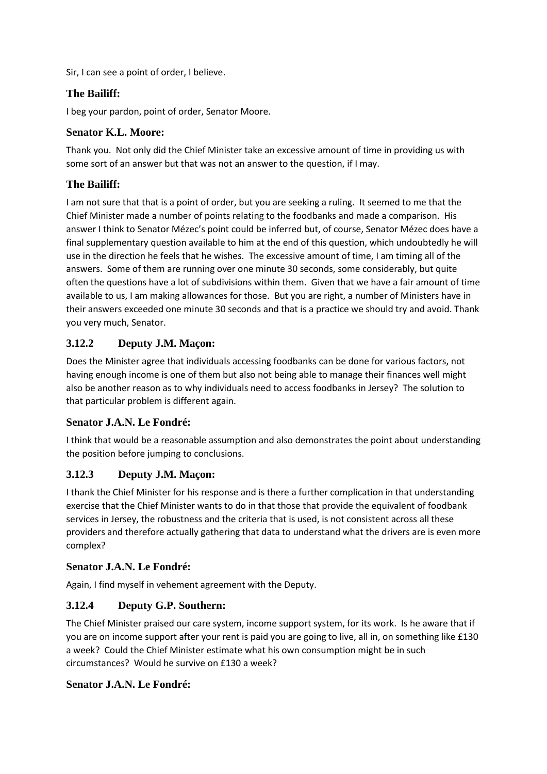Sir, I can see a point of order, I believe.

## **The Bailiff:**

I beg your pardon, point of order, Senator Moore.

### **Senator K.L. Moore:**

Thank you. Not only did the Chief Minister take an excessive amount of time in providing us with some sort of an answer but that was not an answer to the question, if I may.

## **The Bailiff:**

I am not sure that that is a point of order, but you are seeking a ruling. It seemed to me that the Chief Minister made a number of points relating to the foodbanks and made a comparison. His answer I think to Senator Mézec's point could be inferred but, of course, Senator Mézec does have a final supplementary question available to him at the end of this question, which undoubtedly he will use in the direction he feels that he wishes. The excessive amount of time, I am timing all of the answers. Some of them are running over one minute 30 seconds, some considerably, but quite often the questions have a lot of subdivisions within them. Given that we have a fair amount of time available to us, I am making allowances for those. But you are right, a number of Ministers have in their answers exceeded one minute 30 seconds and that is a practice we should try and avoid. Thank you very much, Senator.

### **3.12.2 Deputy J.M. Maçon:**

Does the Minister agree that individuals accessing foodbanks can be done for various factors, not having enough income is one of them but also not being able to manage their finances well might also be another reason as to why individuals need to access foodbanks in Jersey? The solution to that particular problem is different again.

#### **Senator J.A.N. Le Fondré:**

I think that would be a reasonable assumption and also demonstrates the point about understanding the position before jumping to conclusions.

## **3.12.3 Deputy J.M. Maçon:**

I thank the Chief Minister for his response and is there a further complication in that understanding exercise that the Chief Minister wants to do in that those that provide the equivalent of foodbank services in Jersey, the robustness and the criteria that is used, is not consistent across all these providers and therefore actually gathering that data to understand what the drivers are is even more complex?

#### **Senator J.A.N. Le Fondré:**

Again, I find myself in vehement agreement with the Deputy.

## **3.12.4 Deputy G.P. Southern:**

The Chief Minister praised our care system, income support system, for its work. Is he aware that if you are on income support after your rent is paid you are going to live, all in, on something like £130 a week? Could the Chief Minister estimate what his own consumption might be in such circumstances? Would he survive on £130 a week?

#### **Senator J.A.N. Le Fondré:**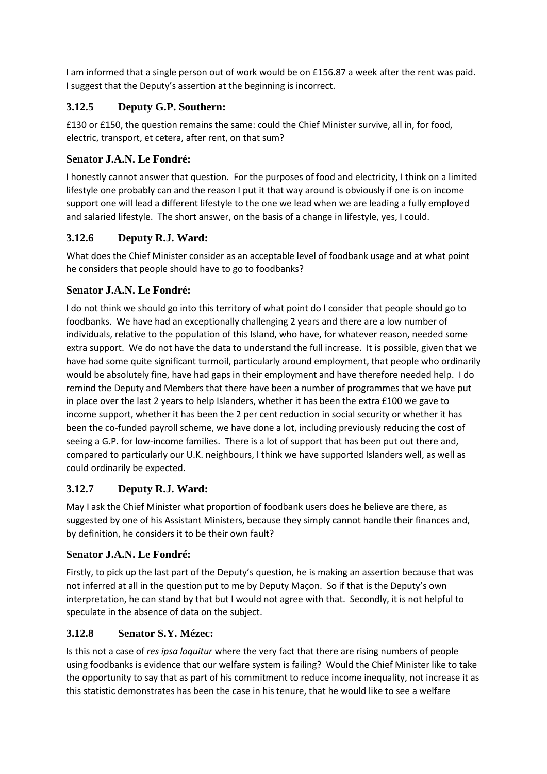I am informed that a single person out of work would be on £156.87 a week after the rent was paid. I suggest that the Deputy's assertion at the beginning is incorrect.

# **3.12.5 Deputy G.P. Southern:**

£130 or £150, the question remains the same: could the Chief Minister survive, all in, for food, electric, transport, et cetera, after rent, on that sum?

## **Senator J.A.N. Le Fondré:**

I honestly cannot answer that question. For the purposes of food and electricity, I think on a limited lifestyle one probably can and the reason I put it that way around is obviously if one is on income support one will lead a different lifestyle to the one we lead when we are leading a fully employed and salaried lifestyle. The short answer, on the basis of a change in lifestyle, yes, I could.

### **3.12.6 Deputy R.J. Ward:**

What does the Chief Minister consider as an acceptable level of foodbank usage and at what point he considers that people should have to go to foodbanks?

### **Senator J.A.N. Le Fondré:**

I do not think we should go into this territory of what point do I consider that people should go to foodbanks. We have had an exceptionally challenging 2 years and there are a low number of individuals, relative to the population of this Island, who have, for whatever reason, needed some extra support. We do not have the data to understand the full increase. It is possible, given that we have had some quite significant turmoil, particularly around employment, that people who ordinarily would be absolutely fine, have had gaps in their employment and have therefore needed help. I do remind the Deputy and Members that there have been a number of programmes that we have put in place over the last 2 years to help Islanders, whether it has been the extra £100 we gave to income support, whether it has been the 2 per cent reduction in social security or whether it has been the co-funded payroll scheme, we have done a lot, including previously reducing the cost of seeing a G.P. for low-income families. There is a lot of support that has been put out there and, compared to particularly our U.K. neighbours, I think we have supported Islanders well, as well as could ordinarily be expected.

## **3.12.7 Deputy R.J. Ward:**

May I ask the Chief Minister what proportion of foodbank users does he believe are there, as suggested by one of his Assistant Ministers, because they simply cannot handle their finances and, by definition, he considers it to be their own fault?

## **Senator J.A.N. Le Fondré:**

Firstly, to pick up the last part of the Deputy's question, he is making an assertion because that was not inferred at all in the question put to me by Deputy Maçon. So if that is the Deputy's own interpretation, he can stand by that but I would not agree with that. Secondly, it is not helpful to speculate in the absence of data on the subject.

## **3.12.8 Senator S.Y. Mézec:**

Is this not a case of *res ipsa loquitur* where the very fact that there are rising numbers of people using foodbanks is evidence that our welfare system is failing? Would the Chief Minister like to take the opportunity to say that as part of his commitment to reduce income inequality, not increase it as this statistic demonstrates has been the case in his tenure, that he would like to see a welfare